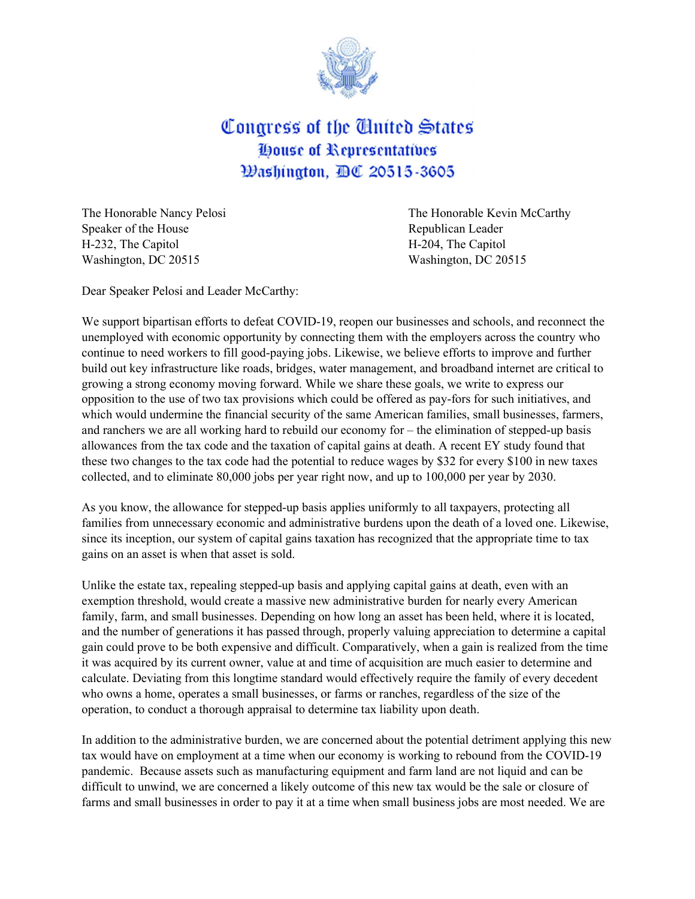

## Congress of the United States **House of Representatives Washington, BC 20515-3605**

Speaker of the House **Republican Leader** Republican Leader H-232, The Capitol H-204, The Capitol Washington, DC 20515 Washington, DC 20515

The Honorable Nancy Pelosi **The Honorable Kevin McCarthy** 

Dear Speaker Pelosi and Leader McCarthy:

We support bipartisan efforts to defeat COVID-19, reopen our businesses and schools, and reconnect the unemployed with economic opportunity by connecting them with the employers across the country who continue to need workers to fill good-paying jobs. Likewise, we believe efforts to improve and further build out key infrastructure like roads, bridges, water management, and broadband internet are critical to growing a strong economy moving forward. While we share these goals, we write to express our opposition to the use of two tax provisions which could be offered as pay-fors for such initiatives, and which would undermine the financial security of the same American families, small businesses, farmers, and ranchers we are all working hard to rebuild our economy for – the elimination of stepped-up basis allowances from the tax code and the taxation of capital gains at death. A recent EY study found that these two changes to the tax code had the potential to reduce wages by \$32 for every \$100 in new taxes collected, and to eliminate 80,000 jobs per year right now, and up to 100,000 per year by 2030.

As you know, the allowance for stepped-up basis applies uniformly to all taxpayers, protecting all families from unnecessary economic and administrative burdens upon the death of a loved one. Likewise, since its inception, our system of capital gains taxation has recognized that the appropriate time to tax gains on an asset is when that asset is sold.

Unlike the estate tax, repealing stepped-up basis and applying capital gains at death, even with an exemption threshold, would create a massive new administrative burden for nearly every American family, farm, and small businesses. Depending on how long an asset has been held, where it is located, and the number of generations it has passed through, properly valuing appreciation to determine a capital gain could prove to be both expensive and difficult. Comparatively, when a gain is realized from the time it was acquired by its current owner, value at and time of acquisition are much easier to determine and calculate. Deviating from this longtime standard would effectively require the family of every decedent who owns a home, operates a small businesses, or farms or ranches, regardless of the size of the operation, to conduct a thorough appraisal to determine tax liability upon death.

In addition to the administrative burden, we are concerned about the potential detriment applying this new tax would have on employment at a time when our economy is working to rebound from the COVID-19 pandemic. Because assets such as manufacturing equipment and farm land are not liquid and can be difficult to unwind, we are concerned a likely outcome of this new tax would be the sale or closure of farms and small businesses in order to pay it at a time when small business jobs are most needed. We are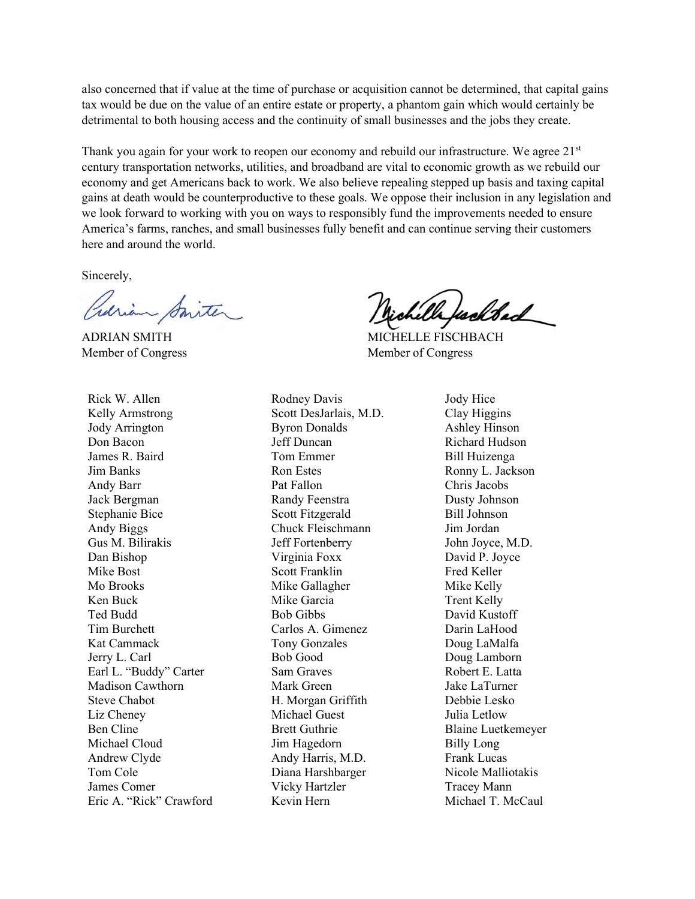also concerned that if value at the time of purchase or acquisition cannot be determined, that capital gains tax would be due on the value of an entire estate or property, a phantom gain which would certainly be detrimental to both housing access and the continuity of small businesses and the jobs they create.

Thank you again for your work to reopen our economy and rebuild our infrastructure. We agree  $21<sup>st</sup>$ century transportation networks, utilities, and broadband are vital to economic growth as we rebuild our economy and get Americans back to work. We also believe repealing stepped up basis and taxing capital gains at death would be counterproductive to these goals. We oppose their inclusion in any legislation and we look forward to working with you on ways to responsibly fund the improvements needed to ensure America's farms, ranches, and small businesses fully benefit and can continue serving their customers here and around the world.

Sincerely,

Previon Smiter

Member of Congress Member of Congress

Rick W. Allen Kelly Armstrong Jody Arrington Don Bacon James R. Baird Jim Banks Andy Barr Jack Bergman Stephanie Bice Andy Biggs Gus M. Bilirakis Dan Bishop Mike Bost Mo Brooks Ken Buck Ted Budd Tim Burchett Kat Cammack Jerry L. Carl Earl L. "Buddy" Carter Madison Cawthorn Steve Chabot Liz Cheney Ben Cline Michael Cloud Andrew Clyde Tom Cole James Comer Eric A. "Rick" Crawford Rodney Davis Scott DesJarlais, M.D. Byron Donalds Jeff Duncan Tom Emmer Ron Estes Pat Fallon Randy Feenstra Scott Fitzgerald Chuck Fleischmann Jeff Fortenberry Virginia Foxx Scott Franklin Mike Gallagher Mike Garcia Bob Gibbs Carlos A. Gimenez Tony Gonzales Bob Good Sam Graves Mark Green H. Morgan Griffith Michael Guest Brett Guthrie Jim Hagedorn Andy Harris, M.D. Diana Harshbarger Vicky Hartzler Kevin Hern

Wh foolded

ADRIAN SMITH MICHELLE FISCHBACH

Jody Hice Clay Higgins Ashley Hinson Richard Hudson Bill Huizenga Ronny L. Jackson Chris Jacobs Dusty Johnson Bill Johnson Jim Jordan John Joyce, M.D. David P. Joyce Fred Keller Mike Kelly Trent Kelly David Kustoff Darin LaHood Doug LaMalfa Doug Lamborn Robert E. Latta Jake LaTurner Debbie Lesko Julia Letlow Blaine Luetkemeyer Billy Long Frank Lucas Nicole Malliotakis Tracey Mann Michael T. McCaul